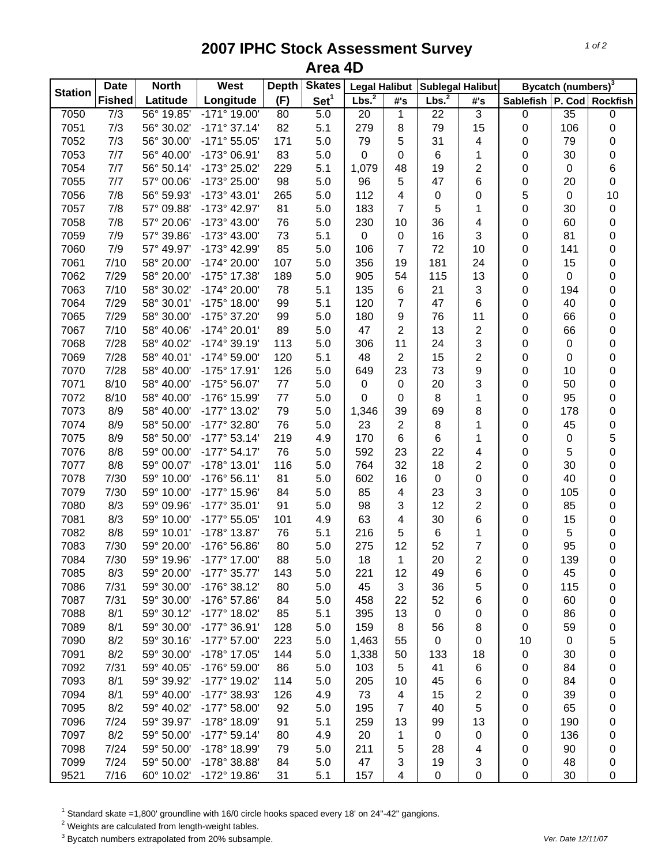## **2007 IPHC Stock Assessment Survey Area 4D**

| <b>Station</b> | <b>Date</b>   | <b>North</b> | West                  | <b>Depth</b> | <b>Skates</b>    | <b>Legal Halibut</b> |                          | <b>Sublegal Halibut</b> |                         | Bycatch (numbers) <sup>3</sup> |                 |                  |
|----------------|---------------|--------------|-----------------------|--------------|------------------|----------------------|--------------------------|-------------------------|-------------------------|--------------------------------|-----------------|------------------|
|                | <b>Fished</b> | Latitude     | Longitude             | (F)          | Set <sup>1</sup> | Lbs. <sup>2</sup>    | #'s                      | Lbs. <sup>2</sup>       | #'s                     | Sablefish   P. Cod   Rockfish  |                 |                  |
| 7050           | 7/3           | 56° 19.85'   | -171° 19.00'          | 80           | 5.0              | 20                   | $\mathbf{1}$             | 22                      | $\overline{3}$          | $\pmb{0}$                      | $\overline{35}$ | $\boldsymbol{0}$ |
| 7051           | 7/3           | 56° 30.02'   | $-171°37.14'$         | 82           | 5.1              | 279                  | 8                        | 79                      | 15                      | 0                              | 106             | $\pmb{0}$        |
| 7052           | 7/3           | 56° 30.00'   | $-171°55.05'$         | 171          | 5.0              | 79                   | 5                        | 31                      | 4                       | 0                              | 79              | $\pmb{0}$        |
| 7053           | 7/7           | 56° 40.00'   | -173° 06.91'          | 83           | 5.0              | 0                    | 0                        | 6                       | 1                       | 0                              | 30              | $\pmb{0}$        |
| 7054           | 7/7           | 56° 50.14'   | -173° 25.02'          | 229          | 5.1              | 1,079                | 48                       | 19                      | 2                       | 0                              | $\pmb{0}$       | 6                |
| 7055           | 7/7           | 57° 00.06'   | -173° 25.00'          | 98           | 5.0              | 96                   | 5                        | 47                      | 6                       | 0                              | 20              | $\pmb{0}$        |
| 7056           | 7/8           | 56° 59.93'   | -173° 43.01'          | 265          | 5.0              | 112                  | 4                        | $\pmb{0}$               | 0                       | 5                              | $\pmb{0}$       | 10               |
| 7057           | 7/8           | 57° 09.88'   | -173° 42.97'          | 81           | 5.0              | 183                  | $\overline{7}$           | 5                       | 1                       | 0                              | 30              | $\pmb{0}$        |
| 7058           | 7/8           | 57° 20.06'   | -173° 43.00'          | 76           | 5.0              | 230                  | 10                       | 36                      | 4                       | 0                              | 60              | $\pmb{0}$        |
| 7059           | 7/9           | 57° 39.86'   | -173° 43.00'          | 73           | 5.1              | 0                    | $\pmb{0}$                | 16                      | 3                       | 0                              | 81              | $\boldsymbol{0}$ |
| 7060           | 7/9           | 57° 49.97'   | -173° 42.99'          | 85           | 5.0              | 106                  | $\overline{7}$           | 72                      | 10                      | 0                              | 141             | $\boldsymbol{0}$ |
| 7061           | 7/10          | 58° 20.00'   | -174° 20.00'          | 107          | 5.0              | 356                  | 19                       | 181                     | 24                      | 0                              | 15              | $\boldsymbol{0}$ |
| 7062           | 7/29          | 58° 20.00'   | -175° 17.38'          | 189          | 5.0              | 905                  | 54                       | 115                     | 13                      | 0                              | $\pmb{0}$       | $\boldsymbol{0}$ |
| 7063           | 7/10          | 58° 30.02'   | -174° 20.00'          | 78           | 5.1              | 135                  | 6                        | 21                      | 3                       | 0                              | 194             | 0                |
| 7064           | 7/29          | 58° 30.01'   | -175° 18.00'          | 99           | 5.1              | 120                  | $\overline{7}$           | 47                      | 6                       | 0                              | 40              | $\boldsymbol{0}$ |
| 7065           | 7/29          | 58° 30.00'   | -175° 37.20'          | 99           | 5.0              | 180                  | 9                        | 76                      | 11                      | 0                              | 66              | $\pmb{0}$        |
| 7067           | 7/10          | 58° 40.06'   | -174° 20.01'          | 89           | 5.0              | 47                   | $\overline{2}$           | 13                      | $\overline{\mathbf{c}}$ | 0                              | 66              | 0                |
| 7068           | 7/28          | 58° 40.02'   | $-174^{\circ}$ 39.19' | 113          | 5.0              | 306                  | 11                       | 24                      | 3                       | 0                              | $\pmb{0}$       | 0                |
| 7069           | 7/28          | 58° 40.01'   | -174° 59.00'          | 120          | 5.1              | 48                   | $\overline{2}$           | 15                      | 2                       | 0                              | 0               | 0                |
| 7070           | 7/28          | 58° 40.00'   | -175° 17.91'          | 126          | 5.0              | 649                  | 23                       | 73                      | 9                       | 0                              | 10              | 0                |
| 7071           | 8/10          | 58° 40.00'   | -175° 56.07'          | 77           | 5.0              | 0                    | $\pmb{0}$                | 20                      | 3                       | 0                              | 50              | 0                |
| 7072           | 8/10          | 58° 40.00'   | -176° 15.99'          | 77           | 5.0              | 0                    | 0                        | 8                       | 1                       | 0                              | 95              | 0                |
| 7073           | 8/9           | 58° 40.00'   | -177° 13.02'          | 79           | 5.0              | 1,346                | 39                       | 69                      | 8                       | 0                              | 178             | 0                |
| 7074           | 8/9           | 58° 50.00'   | -177° 32.80'          | 76           | 5.0              | 23                   | $\overline{2}$           | 8                       | 1                       | 0                              | 45              | $\mathbf 0$      |
|                |               |              |                       |              |                  |                      | 6                        |                         |                         |                                |                 |                  |
| 7075           | 8/9           | 58° 50.00'   | $-177°53.14'$         | 219          | 4.9              | 170                  |                          | 6                       | 1                       | 0                              | $\pmb{0}$       | 5                |
| 7076           | 8/8           | 59° 00.00'   | $-177°54.17'$         | 76           | 5.0              | 592                  | 23                       | 22                      | 4                       | 0                              | 5               | $\mathbf 0$      |
| 7077           | 8/8           | 59° 00.07'   | -178° 13.01'          | 116          | 5.0              | 764                  | 32                       | 18                      | 2                       | 0                              | 30              | $\boldsymbol{0}$ |
| 7078           | 7/30          | 59° 10.00'   | -176° 56.11'          | 81           | 5.0              | 602                  | 16                       | $\pmb{0}$               | 0                       | 0                              | 40              | $\boldsymbol{0}$ |
| 7079           | 7/30          | 59° 10.00'   | -177° 15.96'          | 84           | 5.0              | 85                   | $\overline{\mathcal{A}}$ | 23                      | 3                       | 0                              | 105             | $\boldsymbol{0}$ |
| 7080           | 8/3           | 59° 09.96'   | $-177^{\circ}$ 35.01' | 91           | 5.0              | 98                   | 3                        | 12                      | $\overline{\mathbf{c}}$ | 0                              | 85              | 0                |
| 7081           | 8/3           | 59° 10.00'   | -177° 55.05'          | 101          | 4.9              | 63                   | 4                        | 30                      | 6                       | 0                              | 15              | 0                |
| 7082           | 8/8           | 59° 10.01'   | -178° 13.87'          | 76           | 5.1              | 216                  | 5                        | 6                       | 1                       | 0                              | 5               | $\pmb{0}$        |
| 7083           | 7/30          | 59° 20.00'   | -176° 56.86'          | 80           | 5.0              | 275                  | 12                       | 52                      | 7                       | 0                              | 95              | $\pmb{0}$        |
| 7084           | 7/30          | 59° 19.96'   | -177° 17.00'          | 88           | 5.0              | 18                   | $\mathbf{1}$             | 20                      | 2                       | 0                              | 139             | $\mathbf 0$      |
| 7085           | 8/3           | 59° 20.00'   | -177° 35.77'          | 143          | 5.0              | 221                  | 12                       | 49                      | 6                       | 0                              | 45              | 0                |
| 7086           | 7/31          | 59° 30.00'   | -176° 38.12'          | 80           | 5.0              | 45                   | 3                        | 36                      | 5                       | 0                              | 115             | 0                |
| 7087           | 7/31          | 59° 30.00'   | -176° 57.86'          | 84           | 5.0              | 458                  | 22                       | 52                      | 6                       | 0                              | 60              | 0                |
| 7088           | 8/1           | 59° 30.12'   | -177° 18.02'          | 85           | 5.1              | 395                  | 13                       | $\mathbf 0$             | 0                       | 0                              | 86              | 0                |
| 7089           | 8/1           | 59° 30.00'   | -177° 36.91'          | 128          | 5.0              | 159                  | 8                        | 56                      | 8                       | 0                              | 59              | 0                |
| 7090           | 8/2           | 59° 30.16'   | -177° 57.00'          | 223          | 5.0              | 1,463                | 55                       | $\mathbf 0$             | $\boldsymbol{0}$        | 10                             | $\pmb{0}$       | 5                |
| 7091           | 8/2           | 59° 30.00'   | -178° 17.05'          | 144          | 5.0              | 1,338                | 50                       | 133                     | 18                      | 0                              | 30              | 0                |
| 7092           | 7/31          | 59° 40.05'   | -176° 59.00'          | 86           | 5.0              | 103                  | 5                        | 41                      | 6                       | 0                              | 84              | 0                |
| 7093           | 8/1           | 59° 39.92'   | -177° 19.02'          | 114          | 5.0              | 205                  | 10                       | 45                      | 6                       | 0                              | 84              | 0                |
| 7094           | 8/1           | 59° 40.00'   | -177° 38.93'          | 126          | 4.9              | 73                   | 4                        | 15                      | 2                       | 0                              | 39              | 0                |
| 7095           | 8/2           | 59° 40.02'   | -177° 58.00'          | 92           | 5.0              | 195                  | $\overline{7}$           | 40                      | 5                       | 0                              | 65              | 0                |
| 7096           | 7/24          | 59° 39.97'   | -178° 18.09'          | 91           | 5.1              | 259                  | 13                       | 99                      | 13                      | 0                              | 190             | 0                |
| 7097           | 8/2           | 59° 50.00'   | $-177°59.14'$         | 80           | 4.9              | 20                   | 1                        | 0                       | 0                       | 0                              | 136             | 0                |
| 7098           | 7/24          | 59° 50.00'   | -178° 18.99'          | 79           | 5.0              | 211                  | 5                        | 28                      | 4                       | 0                              | 90              | 0                |
| 7099           | 7/24          | 59° 50.00'   | -178° 38.88'          | 84           | 5.0              | 47                   | 3                        | 19                      | 3                       | 0                              | 48              | 0                |
| 9521           | 7/16          | 60° 10.02'   | -172° 19.86'          | 31           | 5.1              | 157                  | $\overline{\mathcal{A}}$ | $\mathbf 0$             | $\pmb{0}$               | 0                              | 30              | 0                |

<sup>1</sup> Standard skate =1,800' groundline with 16/0 circle hooks spaced every 18' on 24"-42" gangions.<br><sup>2</sup> Weights are calculated from length-weight tables.<br><sup>3</sup> Bycatch numbers extrapolated from 20% subsample.